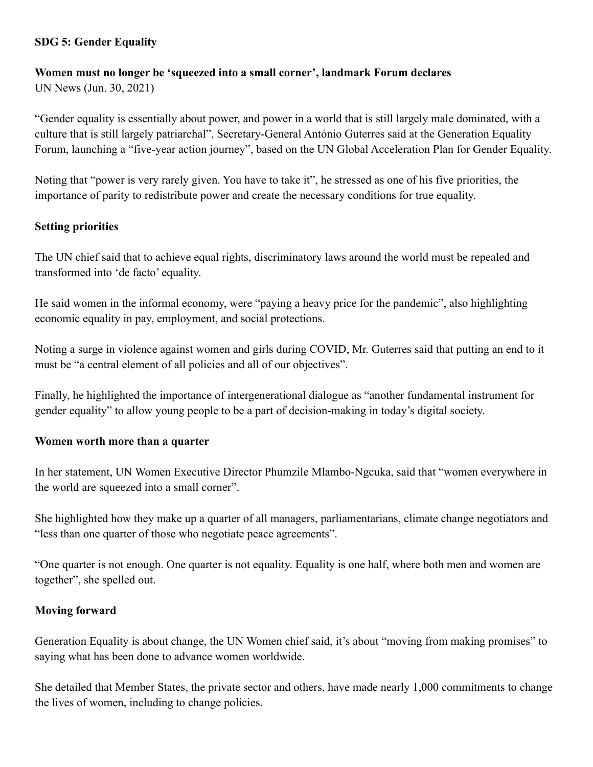### **SDG 5: Gender Equality**

### **Women must no longer be 'squeezed into a small corner', landmark Forum declares**

UN News (Jun. 30, 2021)

"Gender equality is essentially about power, and power in a world that is still largely male dominated, with a culture that is still largely patriarchal", Secretary-General António Guterres said at the Generation Equality Forum, launching a "five-year action journey", based on the UN Global Acceleration Plan for Gender Equality.

Noting that "power is very rarely given. You have to take it", he stressed as one of his five priorities, the importance of parity to redistribute power and create the necessary conditions for true equality.

### **Setting priorities**

The UN chief said that to achieve equal rights, discriminatory laws around the world must be repealed and transformed into 'de facto' equality.

He said women in the informal economy, were "paying a heavy price for the pandemic", also highlighting economic equality in pay, employment, and social protections.

Noting a surge in violence against women and girls during COVID, Mr. Guterres said that putting an end to it must be "a central element of all policies and all of our objectives".

Finally, he highlighted the importance of intergenerational dialogue as "another fundamental instrument for gender equality" to allow young people to be a part of decision-making in today's digital society.

#### **Women worth more than a quarter**

In her statement, UN Women Executive Director Phumzile Mlambo-Ngcuka, said that "women everywhere in the world are squeezed into a small corner".

She highlighted how they make up a quarter of all managers, parliamentarians, climate change negotiators and "less than one quarter of those who negotiate peace agreements".

"One quarter is not enough. One quarter is not equality. Equality is one half, where both men and women are together", she spelled out.

#### **Moving forward**

Generation Equality is about change, the UN Women chief said, it's about "moving from making promises" to saying what has been done to advance women worldwide.

She detailed that Member States, the private sector and others, have made nearly 1,000 commitments to change the lives of women, including to change policies.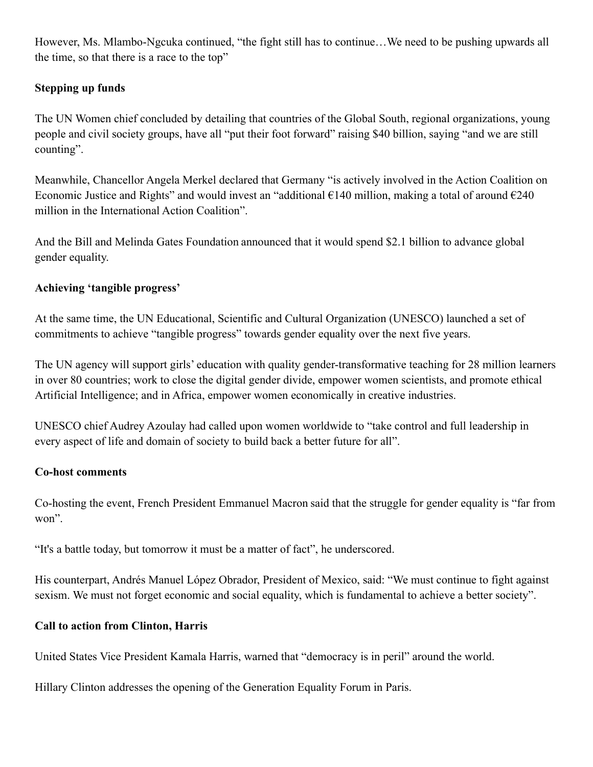However, Ms. Mlambo-Ngcuka continued, "the fight still has to continue…We need to be pushing upwards all the time, so that there is a race to the top"

# **Stepping up funds**

The UN Women chief concluded by detailing that countries of the Global South, regional organizations, young people and civil society groups, have all "put their foot forward" raising \$40 billion, saying "and we are still counting".

Meanwhile, Chancellor Angela Merkel declared that Germany "is actively involved in the Action Coalition on Economic Justice and Rights" and would invest an "additional  $\epsilon$ 140 million, making a total of around  $\epsilon$ 240 million in the International Action Coalition".

And the Bill and Melinda Gates Foundation announced that it would spend \$2.1 billion to advance global gender equality.

## **Achieving 'tangible progress'**

At the same time, the UN Educational, Scientific and Cultural Organization (UNESCO) launched a set of commitments to achieve "tangible progress" towards gender equality over the next five years.

The UN agency will support girls' education with quality gender-transformative teaching for 28 million learners in over 80 countries; work to close the digital gender divide, empower women scientists, and promote ethical Artificial Intelligence; and in Africa, empower women economically in creative industries.

UNESCO chief Audrey Azoulay had called upon women worldwide to "take control and full leadership in every aspect of life and domain of society to build back a better future for all".

## **Co-host comments**

Co-hosting the event, French President Emmanuel Macron said that the struggle for gender equality is "far from won".

"It's a battle today, but tomorrow it must be a matter of fact", he underscored.

His counterpart, Andrés Manuel López Obrador, President of Mexico, said: "We must continue to fight against sexism. We must not forget economic and social equality, which is fundamental to achieve a better society".

## **Call to action from Clinton, Harris**

United States Vice President Kamala Harris, warned that "democracy is in peril" around the world.

Hillary Clinton addresses the opening of the Generation Equality Forum in Paris.